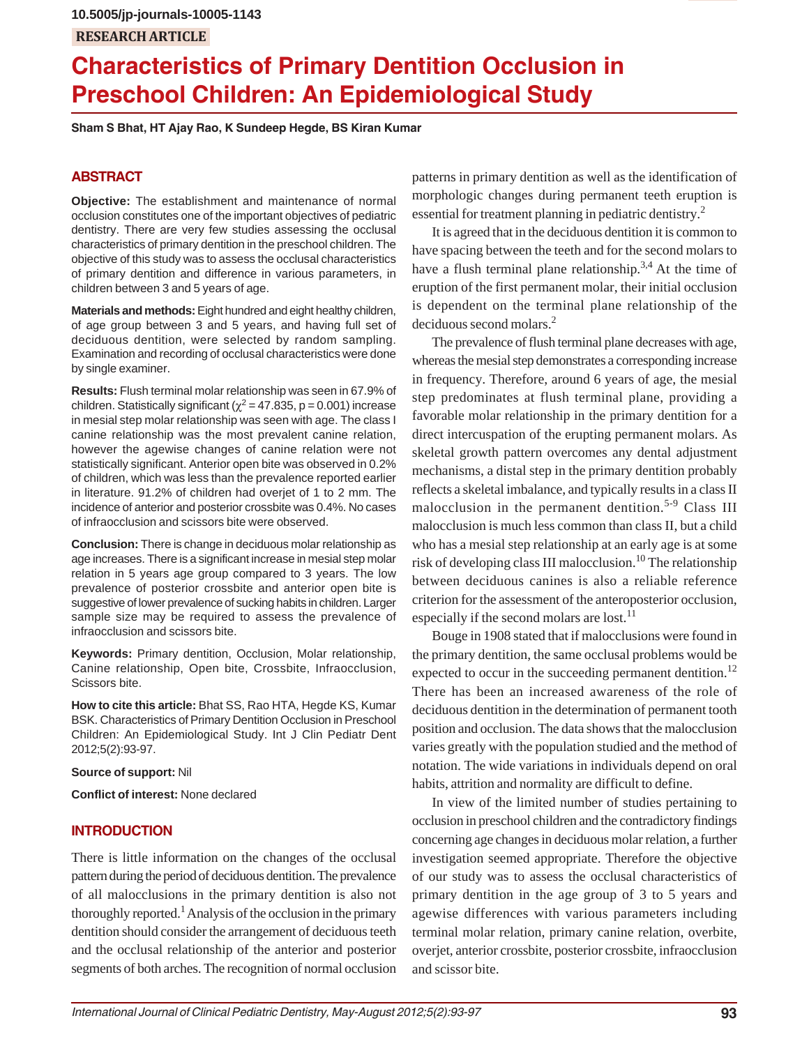# **RESEARCH ARTICLE 10.5005/jp-journals-10005-1143**

# **Characteristics of Primary Dentition Occlusion in Preschool Children: An Epidemiological Study**

**Sham S Bhat, HT Ajay Rao, K Sundeep Hegde, BS Kiran Kumar**

### **ABSTRACT**

**Objective:** The establishment and maintenance of normal occlusion constitutes one of the important objectives of pediatric dentistry. There are very few studies assessing the occlusal characteristics of primary dentition in the preschool children. The objective of this study was to assess the occlusal characteristics of primary dentition and difference in various parameters, in children between 3 and 5 years of age.

**Materials and methods:** Eight hundred and eight healthy children, of age group between 3 and 5 years, and having full set of deciduous dentition, were selected by random sampling. Examination and recording of occlusal characteristics were done by single examiner.

**Results:** Flush terminal molar relationship was seen in 67.9% of children. Statistically significant ( $\chi^2$  = 47.835, p = 0.001) increase in mesial step molar relationship was seen with age. The class I canine relationship was the most prevalent canine relation, however the agewise changes of canine relation were not statistically significant. Anterior open bite was observed in 0.2% of children, which was less than the prevalence reported earlier in literature. 91.2% of children had overjet of 1 to 2 mm. The incidence of anterior and posterior crossbite was 0.4%. No cases of infraocclusion and scissors bite were observed.

**Conclusion:** There is change in deciduous molar relationship as age increases. There is a significant increase in mesial step molar relation in 5 years age group compared to 3 years. The low prevalence of posterior crossbite and anterior open bite is suggestive of lower prevalence of sucking habits in children. Larger sample size may be required to assess the prevalence of infraocclusion and scissors bite.

**Keywords:** Primary dentition, Occlusion, Molar relationship, Canine relationship, Open bite, Crossbite, Infraocclusion, Scissors bite.

**How to cite this article:** Bhat SS, Rao HTA, Hegde KS, Kumar BSK. Characteristics of Primary Dentition Occlusion in Preschool Children: An Epidemiological Study. Int J Clin Pediatr Dent 2012;5(2):93-97.

#### **Source of support:** Nil

**Conflict of interest:** None declared

#### **INTRODUCTION**

There is little information on the changes of the occlusal pattern during the period of deciduous dentition. The prevalence of all malocclusions in the primary dentition is also not thoroughly reported.<sup>1</sup> Analysis of the occlusion in the primary dentition should consider the arrangement of deciduous teeth and the occlusal relationship of the anterior and posterior segments of both arches. The recognition of normal occlusion

patterns in primary dentition as well as the identification of morphologic changes during permanent teeth eruption is essential for treatment planning in pediatric dentistry.<sup>2</sup>

It is agreed that in the deciduous dentition it is common to have spacing between the teeth and for the second molars to have a flush terminal plane relationship.<sup>3,4</sup> At the time of eruption of the first permanent molar, their initial occlusion is dependent on the terminal plane relationship of the deciduous second molars.2

The prevalence of flush terminal plane decreases with age, whereas the mesial step demonstrates a corresponding increase in frequency. Therefore, around 6 years of age, the mesial step predominates at flush terminal plane, providing a favorable molar relationship in the primary dentition for a direct intercuspation of the erupting permanent molars. As skeletal growth pattern overcomes any dental adjustment mechanisms, a distal step in the primary dentition probably reflects a skeletal imbalance, and typically results in a class II malocclusion in the permanent dentition.<sup>5-9</sup> Class III malocclusion is much less common than class II, but a child who has a mesial step relationship at an early age is at some risk of developing class III malocclusion.<sup>10</sup> The relationship between deciduous canines is also a reliable reference criterion for the assessment of the anteroposterior occlusion, especially if the second molars are lost.<sup>11</sup>

Bouge in 1908 stated that if malocclusions were found in the primary dentition, the same occlusal problems would be expected to occur in the succeeding permanent dentition.<sup>12</sup> There has been an increased awareness of the role of deciduous dentition in the determination of permanent tooth position and occlusion. The data shows that the malocclusion varies greatly with the population studied and the method of notation. The wide variations in individuals depend on oral habits, attrition and normality are difficult to define.

In view of the limited number of studies pertaining to occlusion in preschool children and the contradictory findings concerning age changes in deciduous molar relation, a further investigation seemed appropriate. Therefore the objective of our study was to assess the occlusal characteristics of primary dentition in the age group of 3 to 5 years and agewise differences with various parameters including terminal molar relation, primary canine relation, overbite, overjet, anterior crossbite, posterior crossbite, infraocclusion and scissor bite.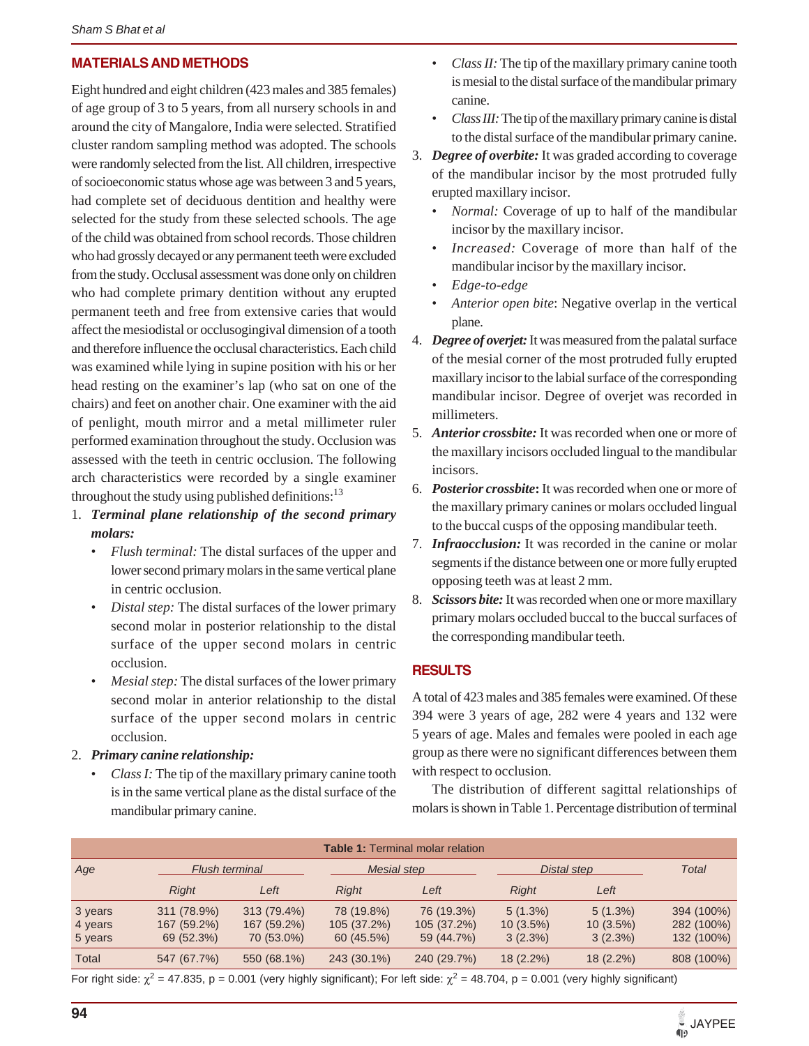## **MATERIALS AND METHODS**

Eight hundred and eight children (423 males and 385 females) of age group of 3 to 5 years, from all nursery schools in and around the city of Mangalore, India were selected. Stratified cluster random sampling method was adopted. The schools were randomly selected from the list. All children, irrespective of socioeconomic status whose age was between 3 and 5 years, had complete set of deciduous dentition and healthy were selected for the study from these selected schools. The age of the child was obtained from school records. Those children who had grossly decayed or any permanent teeth were excluded from the study. Occlusal assessment was done only on children who had complete primary dentition without any erupted permanent teeth and free from extensive caries that would affect the mesiodistal or occlusogingival dimension of a tooth and therefore influence the occlusal characteristics. Each child was examined while lying in supine position with his or her head resting on the examiner's lap (who sat on one of the chairs) and feet on another chair. One examiner with the aid of penlight, mouth mirror and a metal millimeter ruler performed examination throughout the study. Occlusion was assessed with the teeth in centric occlusion. The following arch characteristics were recorded by a single examiner throughout the study using published definitions: $^{13}$ 

- 1. *Terminal plane relationship of the second primary molars:*
	- *Flush terminal:* The distal surfaces of the upper and lower second primary molars in the same vertical plane in centric occlusion.
	- *Distal step:* The distal surfaces of the lower primary second molar in posterior relationship to the distal surface of the upper second molars in centric occlusion.
	- *Mesial step:* The distal surfaces of the lower primary second molar in anterior relationship to the distal surface of the upper second molars in centric occlusion.
- 2. *Primary canine relationship:*
	- *Class I:* The tip of the maxillary primary canine tooth is in the same vertical plane as the distal surface of the mandibular primary canine.
- *Class II:* The tip of the maxillary primary canine tooth is mesial to the distal surface of the mandibular primary canine.
- *Class III:* The tip of the maxillary primary canine is distal to the distal surface of the mandibular primary canine.
- 3. *Degree of overbite:* It was graded according to coverage of the mandibular incisor by the most protruded fully erupted maxillary incisor.
	- *Normal:* Coverage of up to half of the mandibular incisor by the maxillary incisor.
	- Increased: Coverage of more than half of the mandibular incisor by the maxillary incisor.
	- *Edge-to-edge*
	- *Anterior open bite*: Negative overlap in the vertical plane.
- 4. *Degree of overjet:* It was measured from the palatal surface of the mesial corner of the most protruded fully erupted maxillary incisor to the labial surface of the corresponding mandibular incisor. Degree of overjet was recorded in millimeters.
- 5. *Anterior crossbite:* It was recorded when one or more of the maxillary incisors occluded lingual to the mandibular incisors.
- 6. *Posterior crossbite***:** It was recorded when one or more of the maxillary primary canines or molars occluded lingual to the buccal cusps of the opposing mandibular teeth.
- 7. *Infraocclusion:* It was recorded in the canine or molar segments if the distance between one or more fully erupted opposing teeth was at least 2 mm.
- 8. *Scissors bite:* It was recorded when one or more maxillary primary molars occluded buccal to the buccal surfaces of the corresponding mandibular teeth.

## **RESULTS**

A total of 423 males and 385 females were examined. Of these 394 were 3 years of age, 282 were 4 years and 132 were 5 years of age. Males and females were pooled in each age group as there were no significant differences between them with respect to occlusion.

The distribution of different sagittal relationships of molars is shown in Table 1. Percentage distribution of terminal

| <b>Table 1: Terminal molar relation</b> |                                          |                                          |                                         |                                         |                                      |                                      |                                        |
|-----------------------------------------|------------------------------------------|------------------------------------------|-----------------------------------------|-----------------------------------------|--------------------------------------|--------------------------------------|----------------------------------------|
| Age                                     | Flush terminal                           |                                          | Mesial step                             |                                         | Distal step                          |                                      | Total                                  |
|                                         | <b>Right</b>                             | Left                                     | <b>Right</b>                            | Left                                    | <b>Right</b>                         | Left                                 |                                        |
| 3 years<br>4 years<br>5 years           | 311 (78.9%)<br>167 (59.2%)<br>69 (52.3%) | 313 (79.4%)<br>167 (59.2%)<br>70 (53.0%) | 78 (19.8%)<br>105 (37.2%)<br>60 (45.5%) | 76 (19.3%)<br>105 (37.2%)<br>59 (44.7%) | $5(1.3\%)$<br>$10(3.5\%)$<br>3(2.3%) | $5(1.3\%)$<br>$10(3.5\%)$<br>3(2.3%) | 394 (100%)<br>282 (100%)<br>132 (100%) |
| Total                                   | 547 (67.7%)                              | 550 (68.1%)                              | 243 (30.1%)                             | 240 (29.7%)                             | $18(2.2\%)$                          | $18(2.2\%)$                          | 808 (100%)                             |

For right side:  $\chi^2$  = 47.835, p = 0.001 (very highly significant); For left side:  $\chi^2$  = 48.704, p = 0.001 (very highly significant)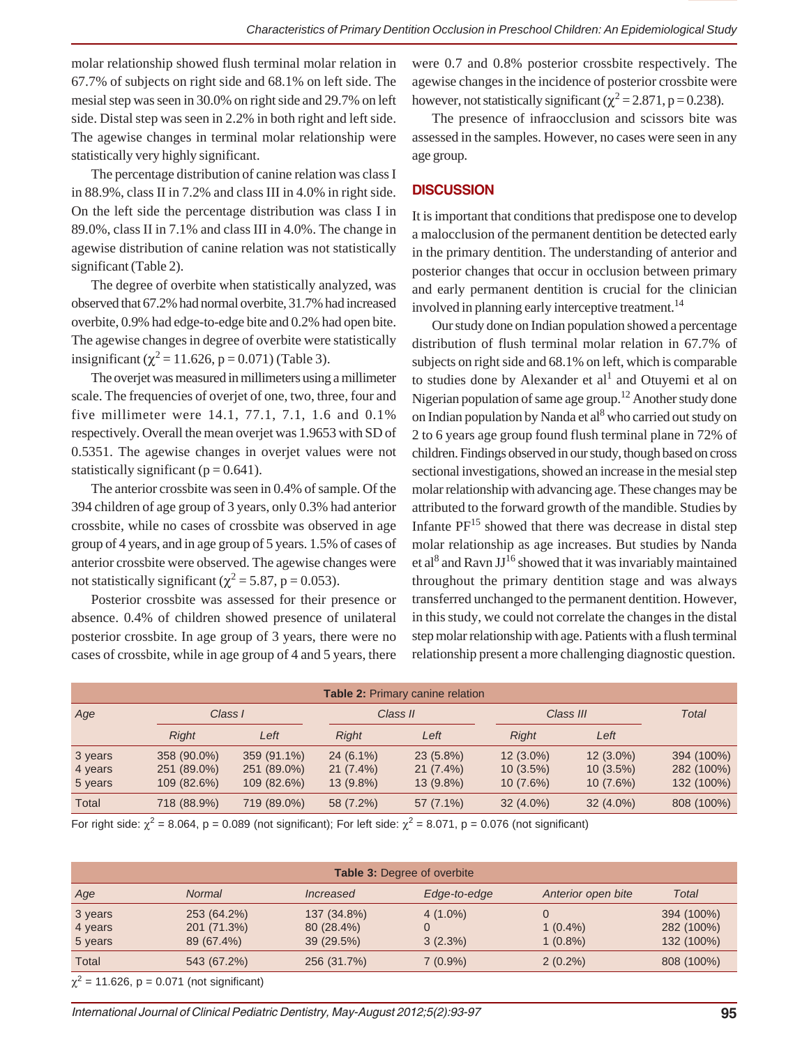molar relationship showed flush terminal molar relation in 67.7% of subjects on right side and 68.1% on left side. The mesial step was seen in 30.0% on right side and 29.7% on left side. Distal step was seen in 2.2% in both right and left side. The agewise changes in terminal molar relationship were statistically very highly significant.

The percentage distribution of canine relation was class I in 88.9%, class II in 7.2% and class III in 4.0% in right side. On the left side the percentage distribution was class I in 89.0%, class II in 7.1% and class III in 4.0%. The change in agewise distribution of canine relation was not statistically significant (Table 2).

The degree of overbite when statistically analyzed, was observed that 67.2% had normal overbite, 31.7% had increased overbite, 0.9% had edge-to-edge bite and 0.2% had open bite. The agewise changes in degree of overbite were statistically insignificant ( $\chi^2$  = 11.626, p = 0.071) (Table 3).

The overjet was measured in millimeters using a millimeter scale. The frequencies of overjet of one, two, three, four and five millimeter were 14.1, 77.1, 7.1, 1.6 and 0.1% respectively. Overall the mean overjet was 1.9653 with SD of 0.5351. The agewise changes in overjet values were not statistically significant ( $p = 0.641$ ).

The anterior crossbite was seen in 0.4% of sample. Of the 394 children of age group of 3 years, only 0.3% had anterior crossbite, while no cases of crossbite was observed in age group of 4 years, and in age group of 5 years. 1.5% of cases of anterior crossbite were observed. The agewise changes were not statistically significant ( $\chi^2$  = 5.87, p = 0.053).

Posterior crossbite was assessed for their presence or absence. 0.4% of children showed presence of unilateral posterior crossbite. In age group of 3 years, there were no cases of crossbite, while in age group of 4 and 5 years, there

were 0.7 and 0.8% posterior crossbite respectively. The agewise changes in the incidence of posterior crossbite were however, not statistically significant ( $\chi^2$  = 2.871, p = 0.238).

The presence of infraocclusion and scissors bite was assessed in the samples. However, no cases were seen in any age group.

#### **DISCUSSION**

It is important that conditions that predispose one to develop a malocclusion of the permanent dentition be detected early in the primary dentition. The understanding of anterior and posterior changes that occur in occlusion between primary and early permanent dentition is crucial for the clinician involved in planning early interceptive treatment.<sup>14</sup>

Our study done on Indian population showed a percentage distribution of flush terminal molar relation in 67.7% of subjects on right side and 68.1% on left, which is comparable to studies done by Alexander et al<sup>1</sup> and Otuyemi et al on Nigerian population of same age group.<sup>12</sup> Another study done on Indian population by Nanda et al<sup>8</sup> who carried out study on 2 to 6 years age group found flush terminal plane in 72% of children. Findings observed in our study, though based on cross sectional investigations, showed an increase in the mesial step molar relationship with advancing age. These changes may be attributed to the forward growth of the mandible. Studies by Infante  $PF^{15}$  showed that there was decrease in distal step molar relationship as age increases. But studies by Nanda et al<sup>8</sup> and Ravn JJ<sup>16</sup> showed that it was invariably maintained throughout the primary dentition stage and was always transferred unchanged to the permanent dentition. However, in this study, we could not correlate the changes in the distal step molar relationship with age. Patients with a flush terminal relationship present a more challenging diagnostic question.

| <b>Table 2: Primary canine relation</b> |              |             |              |             |              |             |              |
|-----------------------------------------|--------------|-------------|--------------|-------------|--------------|-------------|--------------|
| Age                                     | Class I      |             | Class II     |             | Class III    |             | <b>Total</b> |
|                                         | <b>Right</b> | Left        | <b>Right</b> | Left        | <b>Right</b> | Left        |              |
| 3 years                                 | 358 (90.0%)  | 359 (91.1%) | $24(6.1\%)$  | $23(5.8\%)$ | $12(3.0\%)$  | $12(3.0\%)$ | 394 (100%)   |
| 4 years                                 | 251 (89.0%)  | 251 (89.0%) | $21(7.4\%)$  | $21(7.4\%)$ | $10(3.5\%)$  | $10(3.5\%)$ | 282 (100%)   |
| 5 years                                 | 109 (82.6%)  | 109 (82.6%) | $13(9.8\%)$  | $13(9.8\%)$ | $10(7.6\%)$  | $10(7.6\%)$ | 132 (100%)   |
| Total                                   | 718 (88.9%)  | 719 (89.0%) | 58 (7.2%)    | 57 (7.1%)   | $32(4.0\%)$  | $32(4.0\%)$ | 808 (100%)   |

For right side:  $\chi^2$  = 8.064, p = 0.089 (not significant); For left side:  $\chi^2$  = 8.071, p = 0.076 (not significant)

| <b>Table 3: Degree of overbite</b> |                                          |                          |                 |                          |                          |  |  |
|------------------------------------|------------------------------------------|--------------------------|-----------------|--------------------------|--------------------------|--|--|
| Age                                | <b>Normal</b>                            | Increased                | Edge-to-edge    | Anterior open bite       | Total                    |  |  |
| 3 years                            | 253 (64.2%)                              | 137 (34.8%)              | $4(1.0\%)$      |                          | 394 (100%)               |  |  |
| 4 years<br>5 years                 | 201 (71.3%)<br>89 (67.4%)                | 80 (28.4%)<br>39 (29.5%) | 0<br>$3(2.3\%)$ | $1(0.4\%)$<br>$1(0.8\%)$ | 282 (100%)<br>132 (100%) |  |  |
| Total                              | 543 (67.2%)                              | 256 (31.7%)              | $7(0.9\%)$      | $2(0.2\%)$               | 808 (100%)               |  |  |
|                                    | $2 + 4$ 600 $\pm$ 0.074 (not similar at) |                          |                 |                          |                          |  |  |

 $\chi^2$  = 11.626, p = 0.071 (not significant)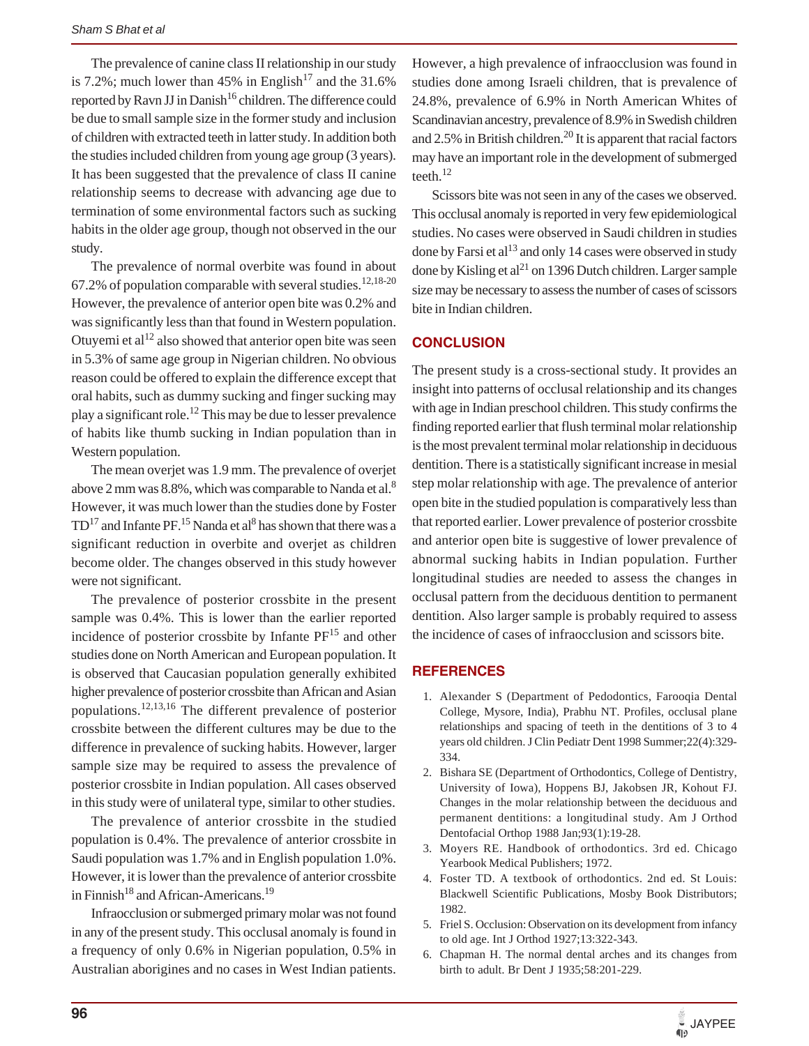The prevalence of canine class II relationship in our study is 7.2%; much lower than 45% in English<sup>17</sup> and the 31.6% reported by Ravn JJ in Danish<sup>16</sup> children. The difference could be due to small sample size in the former study and inclusion of children with extracted teeth in latter study. In addition both the studies included children from young age group (3 years). It has been suggested that the prevalence of class II canine relationship seems to decrease with advancing age due to termination of some environmental factors such as sucking habits in the older age group, though not observed in the our study.

The prevalence of normal overbite was found in about 67.2% of population comparable with several studies.  $12,18-20$ However, the prevalence of anterior open bite was 0.2% and was significantly less than that found in Western population. Otuyemi et al<sup>12</sup> also showed that anterior open bite was seen in 5.3% of same age group in Nigerian children. No obvious reason could be offered to explain the difference except that oral habits, such as dummy sucking and finger sucking may play a significant role.12 This may be due to lesser prevalence of habits like thumb sucking in Indian population than in Western population.

The mean overjet was 1.9 mm. The prevalence of overjet above 2 mm was  $8.8\%$ , which was comparable to Nanda et al. $8$ However, it was much lower than the studies done by Foster  $\rm TD^{17}$  and Infante PF.  $^{15}$  Nanda et al $^8$  has shown that there was a significant reduction in overbite and overjet as children become older. The changes observed in this study however were not significant.

The prevalence of posterior crossbite in the present sample was 0.4%. This is lower than the earlier reported incidence of posterior crossbite by Infante  $PF<sup>15</sup>$  and other studies done on North American and European population. It is observed that Caucasian population generally exhibited higher prevalence of posterior crossbite than African and Asian populations.12,13,16 The different prevalence of posterior crossbite between the different cultures may be due to the difference in prevalence of sucking habits. However, larger sample size may be required to assess the prevalence of posterior crossbite in Indian population. All cases observed in this study were of unilateral type, similar to other studies.

The prevalence of anterior crossbite in the studied population is 0.4%. The prevalence of anterior crossbite in Saudi population was 1.7% and in English population 1.0%. However, it is lower than the prevalence of anterior crossbite in Finnish<sup>18</sup> and African-Americans.<sup>19</sup>

Infraocclusion or submerged primary molar was not found in any of the present study. This occlusal anomaly is found in a frequency of only 0.6% in Nigerian population, 0.5% in Australian aborigines and no cases in West Indian patients.

However, a high prevalence of infraocclusion was found in studies done among Israeli children, that is prevalence of 24.8%, prevalence of 6.9% in North American Whites of Scandinavian ancestry, prevalence of 8.9% in Swedish children and 2.5% in British children.<sup>20</sup> It is apparent that racial factors may have an important role in the development of submerged teeth.12

Scissors bite was not seen in any of the cases we observed. This occlusal anomaly is reported in very few epidemiological studies. No cases were observed in Saudi children in studies done by Farsi et  $al<sup>13</sup>$  and only 14 cases were observed in study done by Kisling et  $al^{21}$  on 1396 Dutch children. Larger sample size may be necessary to assess the number of cases of scissors bite in Indian children.

#### **CONCLUSION**

The present study is a cross-sectional study. It provides an insight into patterns of occlusal relationship and its changes with age in Indian preschool children. This study confirms the finding reported earlier that flush terminal molar relationship is the most prevalent terminal molar relationship in deciduous dentition. There is a statistically significant increase in mesial step molar relationship with age. The prevalence of anterior open bite in the studied population is comparatively less than that reported earlier. Lower prevalence of posterior crossbite and anterior open bite is suggestive of lower prevalence of abnormal sucking habits in Indian population. Further longitudinal studies are needed to assess the changes in occlusal pattern from the deciduous dentition to permanent dentition. Also larger sample is probably required to assess the incidence of cases of infraocclusion and scissors bite.

#### **REFERENCES**

- 1. Alexander S (Department of Pedodontics, Farooqia Dental College, Mysore, India), Prabhu NT. Profiles, occlusal plane relationships and spacing of teeth in the dentitions of 3 to 4 years old children. J Clin Pediatr Dent 1998 Summer;22(4):329- 334.
- 2. Bishara SE (Department of Orthodontics, College of Dentistry, University of Iowa), Hoppens BJ, Jakobsen JR, Kohout FJ. Changes in the molar relationship between the deciduous and permanent dentitions: a longitudinal study. Am J Orthod Dentofacial Orthop 1988 Jan;93(1):19-28.
- 3. Moyers RE. Handbook of orthodontics. 3rd ed. Chicago Yearbook Medical Publishers; 1972.
- 4. Foster TD. A textbook of orthodontics. 2nd ed. St Louis: Blackwell Scientific Publications, Mosby Book Distributors; 1982.
- 5. Friel S. Occlusion: Observation on its development from infancy to old age. Int J Orthod 1927;13:322-343.
- 6. Chapman H. The normal dental arches and its changes from birth to adult. Br Dent J 1935;58:201-229.